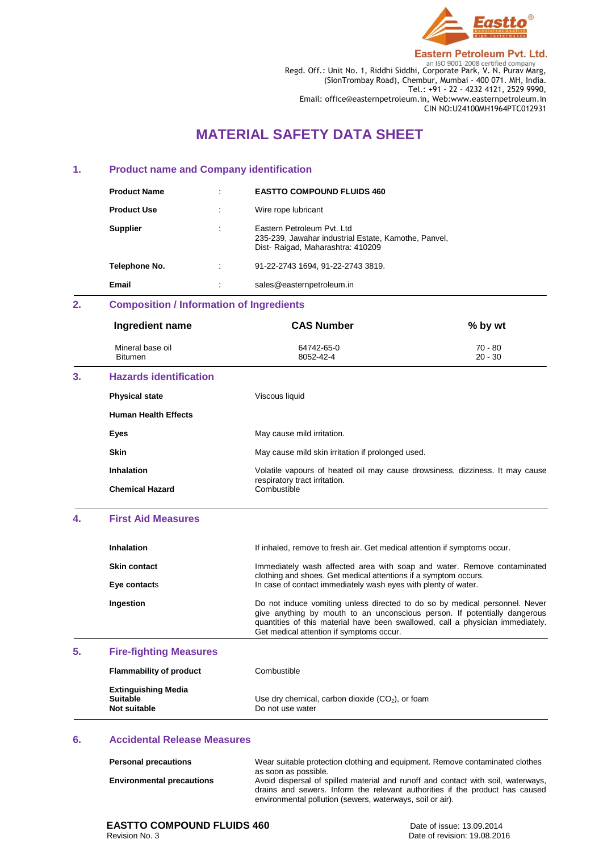

**Eastern Petroleum Pvt. Ltd.** Regd. Off.: Unit No. 1, Riddhi Siddhi, Corporate Park, V. N. Purav Marg, (SionTrombay Road), Chembur, Mumbai - 400 071. MH, India. Tel.: +91 - 22 - 4232 4121, 2529 9990, Email: office@easternpetroleum.in, Web:www.easternpetroleum.in CIN NO:U24100MH1964PTC012931

# **MATERIAL SAFETY DATA SHEET**

#### **1. Product name and Company identification**

| <b>Product Name</b> | $\bullet$ | <b>EASTTO COMPOUND FLUIDS 460</b>                                                                                       |
|---------------------|-----------|-------------------------------------------------------------------------------------------------------------------------|
| <b>Product Use</b>  | ٠         | Wire rope lubricant                                                                                                     |
| <b>Supplier</b>     | ٠         | Eastern Petroleum Pyt. Ltd.<br>235-239, Jawahar industrial Estate, Kamothe, Panvel,<br>Dist-Raigad, Maharashtra: 410209 |
| Telephone No.       | $\bullet$ | 91-22-2743 1694, 91-22-2743 3819.                                                                                       |
| Email               | ٠         | sales@easternpetroleum.in                                                                                               |

# **2. Composition / Information of Ingredients**

| Ingredient name                    | <b>CAS Number</b>       | $%$ by wt            |
|------------------------------------|-------------------------|----------------------|
| Mineral base oil<br><b>Bitumen</b> | 64742-65-0<br>8052-42-4 | 70 - 80<br>$20 - 30$ |
|                                    |                         |                      |

# **3. Hazards identification**

| <b>Physical state</b>       | Viscous liquid                                                                                                |
|-----------------------------|---------------------------------------------------------------------------------------------------------------|
| <b>Human Health Effects</b> |                                                                                                               |
| Eyes                        | May cause mild irritation.                                                                                    |
| <b>Skin</b>                 | May cause mild skin irritation if prolonged used.                                                             |
| Inhalation                  | Volatile vapours of heated oil may cause drowsiness, dizziness. It may cause<br>respiratory tract irritation. |
| <b>Chemical Hazard</b>      | Combustible                                                                                                   |

# **4. First Aid Measures**

| <b>Inhalation</b>   | If inhaled, remove to fresh air. Get medical attention if symptoms occur.                                                                                                                                                                                                              |
|---------------------|----------------------------------------------------------------------------------------------------------------------------------------------------------------------------------------------------------------------------------------------------------------------------------------|
| <b>Skin contact</b> | Immediately wash affected area with soap and water. Remove contaminated<br>clothing and shoes. Get medical attentions if a symptom occurs.                                                                                                                                             |
| Eye contacts        | In case of contact immediately wash eyes with plenty of water.                                                                                                                                                                                                                         |
| Ingestion           | Do not induce vomiting unless directed to do so by medical personnel. Never<br>give anything by mouth to an unconscious person. If potentially dangerous<br>quantities of this material have been swallowed, call a physician immediately.<br>Get medical attention if symptoms occur. |

#### **5. Fire-fighting Measures**

| <b>Flammability of product</b>                                | Combustible                                                            |
|---------------------------------------------------------------|------------------------------------------------------------------------|
| <b>Extinguishing Media</b><br><b>Suitable</b><br>Not suitable | Use dry chemical, carbon dioxide $(CO2)$ , or foam<br>Do not use water |

#### **6. Accidental Release Measures**

| <b>Personal precautions</b>      | Wear suitable protection clothing and equipment. Remove contaminated clothes     |
|----------------------------------|----------------------------------------------------------------------------------|
|                                  | as soon as possible.                                                             |
| <b>Environmental precautions</b> | Avoid dispersal of spilled material and runoff and contact with soil, waterways, |
|                                  | drains and sewers. Inform the relevant authorities if the product has caused     |
|                                  | environmental pollution (sewers, waterways, soil or air).                        |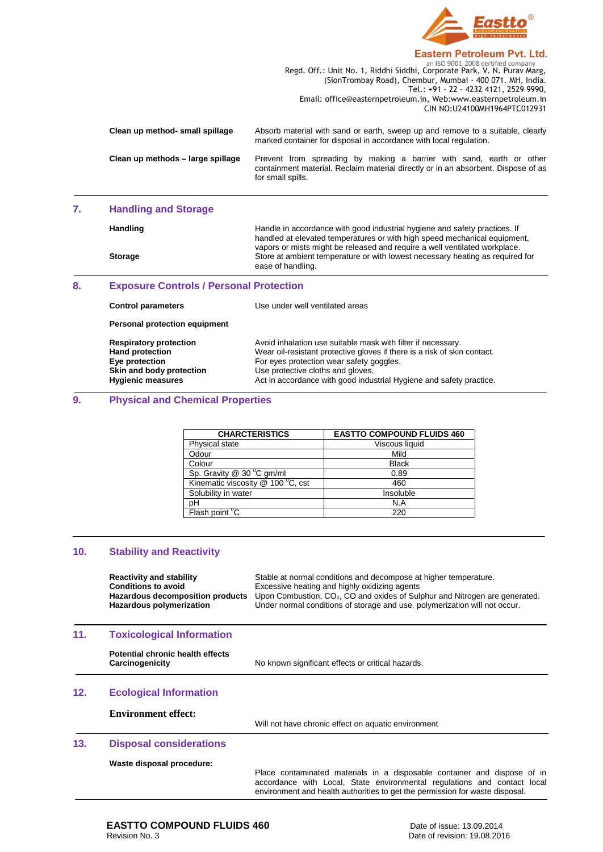

### **Eastern Petroleum Pvt. Ltd.**

|                                   | an ISO 9001-2008 certified company                                                                                                                                             |
|-----------------------------------|--------------------------------------------------------------------------------------------------------------------------------------------------------------------------------|
|                                   | Regd. Off.: Unit No. 1, Riddhi Siddhi, Corporate Park, V. N. Purav Marg,                                                                                                       |
|                                   | (SionTrombay Road), Chembur, Mumbai - 400 071, MH, India.                                                                                                                      |
|                                   | Tel.: +91 - 22 - 4232 4121, 2529 9990,                                                                                                                                         |
|                                   | Email: office@easternpetroleum.in, Web:www.easternpetroleum.in                                                                                                                 |
|                                   | CIN NO:U24100MH1964PTC012931                                                                                                                                                   |
| Clean up method- small spillage   | Absorb material with sand or earth, sweep up and remove to a suitable, clearly<br>marked container for disposal in accordance with local regulation.                           |
| Clean up methods – large spillage | Prevent from spreading by making a barrier with sand, earth or other<br>containment material. Reclaim material directly or in an absorbent. Dispose of as<br>for small spills. |
|                                   |                                                                                                                                                                                |

#### **7. Handling and Storage**

Handling **Handling Handle in accordance with good industrial hygiene and safety practices. If** handled at elevated temperatures or with high speed mechanical equipment, vapors or mists might be released and require a well ventilated workplace. Storage Storage Store at ambient temperature or with lowest necessary heating as required for ease of handling.

#### **8. Exposure Controls / Personal Protection**

| <b>Control parameters</b>                                                                                                         | Use under well ventilated areas                                                                                                                                                                                                                                                                  |
|-----------------------------------------------------------------------------------------------------------------------------------|--------------------------------------------------------------------------------------------------------------------------------------------------------------------------------------------------------------------------------------------------------------------------------------------------|
| Personal protection equipment                                                                                                     |                                                                                                                                                                                                                                                                                                  |
| <b>Respiratory protection</b><br><b>Hand protection</b><br>Eye protection<br>Skin and body protection<br><b>Hygienic measures</b> | Avoid inhalation use suitable mask with filter if necessary.<br>Wear oil-resistant protective gloves if there is a risk of skin contact.<br>For eyes protection wear safety goggles.<br>Use protective cloths and gloves.<br>Act in accordance with good industrial Hygiene and safety practice. |

### **9. Physical and Chemical Properties**

| <b>CHARCTERISTICS</b>                 | <b>EASTTO COMPOUND FLUIDS 460</b> |
|---------------------------------------|-----------------------------------|
| Physical state                        | Viscous liquid                    |
| Odour                                 | Mild                              |
| Colour                                | <b>Black</b>                      |
| Sp. Gravity $@$ 30 $^{\circ}$ C gm/ml | 0.89                              |
| Kinematic viscosity @ 100 °C, cst     | 460                               |
| Solubility in water                   | Insoluble                         |
| рH                                    | N.A                               |
| Flash point $\overline{C}$            | 220                               |

#### **10. Stability and Reactivity**

| <b>Reactivity and stability</b>  | Stable at normal conditions and decompose at higher temperature.              |
|----------------------------------|-------------------------------------------------------------------------------|
| <b>Conditions to avoid</b>       | Excessive heating and highly oxidizing agents                                 |
| Hazardous decomposition products | Upon Combustion, $CO2$ , CO and oxides of Sulphur and Nitrogen are generated. |
| Hazardous polymerization         | Under normal conditions of storage and use, polymerization will not occur.    |

#### **11. Toxicological Information**

| Potential chronic health effects |  |
|----------------------------------|--|
| Carcinogenicity                  |  |

No known significant effects or critical hazards.

#### **12. Ecological Information**

**Environment effect:** 

Will not have chronic effect on aquatic environment

### **13. Disposal considerations**

**Waste disposal procedure:**

Place contaminated materials in a disposable container and dispose of in accordance with Local, State environmental regulations and contact local environment and health authorities to get the permission for waste disposal.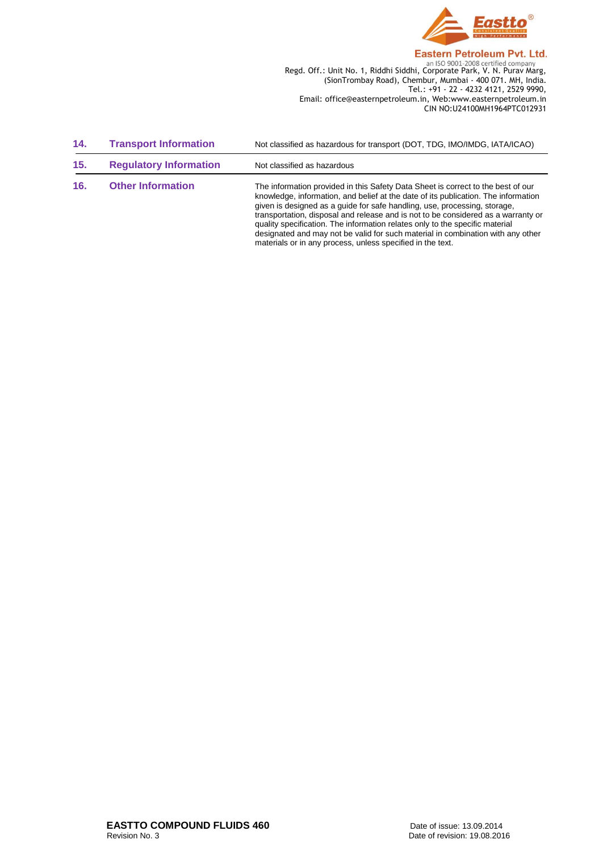

Regd. Off.: Unit No. 1, Riddhi Siddhi, Corporate Park, V. N. Purav Marg, (SionTrombay Road), Chembur, Mumbai - 400 071. MH, India. Tel.: +91 - 22 - 4232 4121, 2529 9990, Email: office@easternpetroleum.in, Web:www.easternpetroleum.in CIN NO:U24100MH1964PTC012931

| 14. | <b>Transport Information</b>  | Not classified as hazardous for transport (DOT, TDG, IMO/IMDG, IATA/ICAO)                                                                                                                                                                                                                                                                                                                                                                                                                                                                                                 |
|-----|-------------------------------|---------------------------------------------------------------------------------------------------------------------------------------------------------------------------------------------------------------------------------------------------------------------------------------------------------------------------------------------------------------------------------------------------------------------------------------------------------------------------------------------------------------------------------------------------------------------------|
| 15. | <b>Regulatory Information</b> | Not classified as hazardous                                                                                                                                                                                                                                                                                                                                                                                                                                                                                                                                               |
| 16. | <b>Other Information</b>      | The information provided in this Safety Data Sheet is correct to the best of our<br>knowledge, information, and belief at the date of its publication. The information<br>given is designed as a quide for safe handling, use, processing, storage,<br>transportation, disposal and release and is not to be considered as a warranty or<br>quality specification. The information relates only to the specific material<br>designated and may not be valid for such material in combination with any other<br>materials or in any process, unless specified in the text. |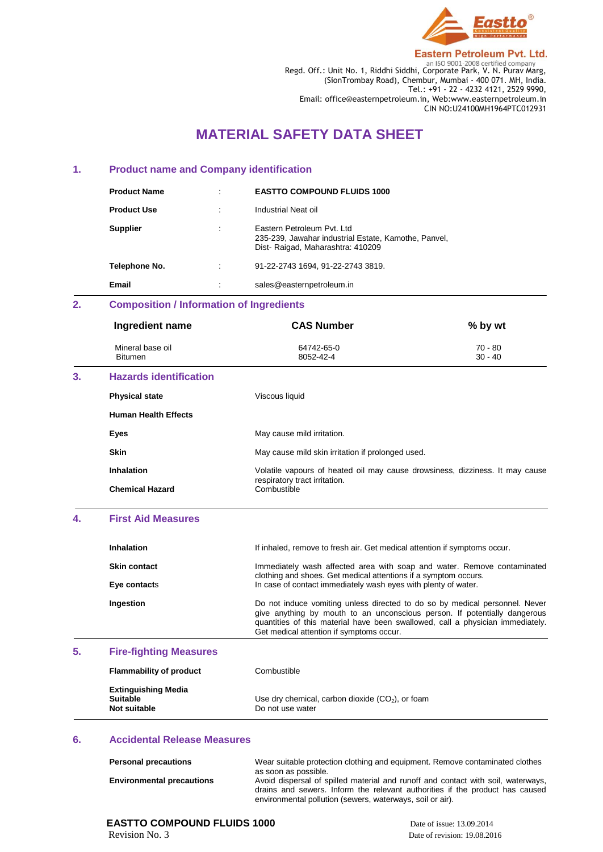

**Eastern Petroleum Pvt. Ltd.** 

Regd. Off.: Unit No. 1, Riddhi Siddhi, Corporate Park, V. N. Purav Marg, (SionTrombay Road), Chembur, Mumbai - 400 071. MH, India. Tel.: +91 - 22 - 4232 4121, 2529 9990, Email: office@easternpetroleum.in, Web:www.easternpetroleum.in CIN NO:U24100MH1964PTC012931

# **MATERIAL SAFETY DATA SHEET**

#### **1. Product name and Company identification**

| <b>Product Name</b> | $\bullet$ | <b>EASTTO COMPOUND FLUIDS 1000</b>                                                                                      |
|---------------------|-----------|-------------------------------------------------------------------------------------------------------------------------|
| <b>Product Use</b>  |           | Industrial Neat oil                                                                                                     |
| <b>Supplier</b>     | ٠         | Eastern Petroleum Pyt. Ltd.<br>235-239, Jawahar industrial Estate, Kamothe, Panvel,<br>Dist-Raigad, Maharashtra: 410209 |
| Telephone No.       | ÷         | 91-22-2743 1694, 91-22-2743 3819.                                                                                       |
| Email               | $\bullet$ | sales@easternpetroleum.in                                                                                               |

# **2. Composition / Information of Ingredients**

| Ingredient name                    | <b>CAS Number</b>       | $%$ by wt            |
|------------------------------------|-------------------------|----------------------|
| Mineral base oil<br><b>Bitumen</b> | 64742-65-0<br>8052-42-4 | 70 - 80<br>$30 - 40$ |
|                                    |                         |                      |

## **3. Hazards identification**

| <b>Physical state</b>       | Viscous liquid                                                                                                               |
|-----------------------------|------------------------------------------------------------------------------------------------------------------------------|
| <b>Human Health Effects</b> |                                                                                                                              |
| Eyes                        | May cause mild irritation.                                                                                                   |
| <b>Skin</b>                 | May cause mild skin irritation if prolonged used.                                                                            |
| <b>Inhalation</b>           | Volatile vapours of heated oil may cause drowsiness, dizziness. It may cause<br>respiratory tract irritation.<br>Combustible |
| <b>Chemical Hazard</b>      |                                                                                                                              |
|                             |                                                                                                                              |

#### **4. First Aid Measures**

| <b>Inhalation</b>                   | If inhaled, remove to fresh air. Get medical attention if symptoms occur.                                                                                                                                                                                                              |
|-------------------------------------|----------------------------------------------------------------------------------------------------------------------------------------------------------------------------------------------------------------------------------------------------------------------------------------|
| <b>Skin contact</b><br>Eye contacts | Immediately wash affected area with soap and water. Remove contaminated<br>clothing and shoes. Get medical attentions if a symptom occurs.                                                                                                                                             |
|                                     | In case of contact immediately wash eyes with plenty of water.                                                                                                                                                                                                                         |
| Ingestion                           | Do not induce vomiting unless directed to do so by medical personnel. Never<br>give anything by mouth to an unconscious person. If potentially dangerous<br>quantities of this material have been swallowed, call a physician immediately.<br>Get medical attention if symptoms occur. |

#### **5. Fire-fighting Measures**

| <b>Flammability of product</b>                                | Combustible                                                            |
|---------------------------------------------------------------|------------------------------------------------------------------------|
| <b>Extinguishing Media</b><br><b>Suitable</b><br>Not suitable | Use dry chemical, carbon dioxide $(CO2)$ , or foam<br>Do not use water |

#### **6. Accidental Release Measures**

| <b>Personal precautions</b>      | Wear suitable protection clothing and equipment. Remove contaminated clothes<br>as soon as possible.                                                             |
|----------------------------------|------------------------------------------------------------------------------------------------------------------------------------------------------------------|
| <b>Environmental precautions</b> | Avoid dispersal of spilled material and runoff and contact with soil, waterways,<br>drains and sewers. Inform the relevant authorities if the product has caused |
|                                  | environmental pollution (sewers, waterways, soil or air).                                                                                                        |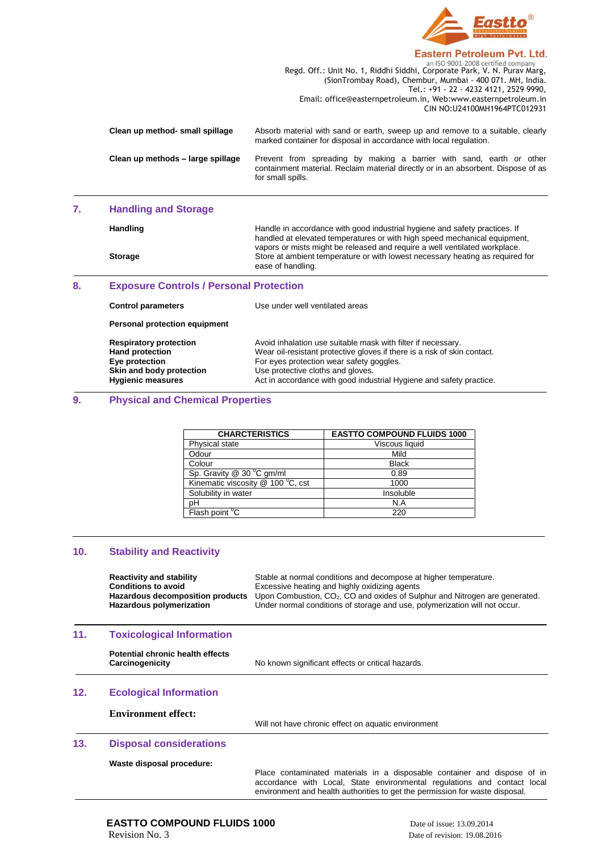

#### **Eastern Petroleum Pvt. Ltd.**

|                                   | an ISO 9001-2008 certified company                                                                                                                                             |
|-----------------------------------|--------------------------------------------------------------------------------------------------------------------------------------------------------------------------------|
|                                   | Regd. Off.: Unit No. 1, Riddhi Siddhi, Corporate Park, V. N. Purav Marg,                                                                                                       |
|                                   | (SionTrombay Road), Chembur, Mumbai - 400 071. MH, India.                                                                                                                      |
|                                   | Tel.: +91 - 22 - 4232 4121, 2529 9990,                                                                                                                                         |
|                                   | Email: office@easternpetroleum.in, Web:www.easternpetroleum.in                                                                                                                 |
|                                   | CIN NO:U24100MH1964PTC012931                                                                                                                                                   |
| Clean up method- small spillage   | Absorb material with sand or earth, sweep up and remove to a suitable, clearly<br>marked container for disposal in accordance with local regulation.                           |
| Clean up methods – large spillage | Prevent from spreading by making a barrier with sand, earth or other<br>containment material. Reclaim material directly or in an absorbent. Dispose of as<br>for small spills. |
|                                   |                                                                                                                                                                                |

#### **7. Handling and Storage**

Handling **Handling Handle in accordance with good industrial hygiene and safety practices. If** handled at elevated temperatures or with high speed mechanical equipment, vapors or mists might be released and require a well ventilated workplace. **Storage** Store at ambient temperature or with lowest necessary heating as required for ease of handling.

#### **8. Exposure Controls / Personal Protection**

| <b>Control parameters</b>                                                                                                         | Use under well ventilated areas                                                                                                                                                                                                                                                                  |
|-----------------------------------------------------------------------------------------------------------------------------------|--------------------------------------------------------------------------------------------------------------------------------------------------------------------------------------------------------------------------------------------------------------------------------------------------|
| Personal protection equipment                                                                                                     |                                                                                                                                                                                                                                                                                                  |
| <b>Respiratory protection</b><br><b>Hand protection</b><br>Eye protection<br>Skin and body protection<br><b>Hygienic measures</b> | Avoid inhalation use suitable mask with filter if necessary.<br>Wear oil-resistant protective gloves if there is a risk of skin contact.<br>For eyes protection wear safety goggles.<br>Use protective cloths and gloves.<br>Act in accordance with good industrial Hygiene and safety practice. |

#### **9. Physical and Chemical Properties**

| <b>CHARCTERISTICS</b>                 | <b>EASTTO COMPOUND FLUIDS 1000</b> |
|---------------------------------------|------------------------------------|
| Physical state                        | Viscous liquid                     |
| Odour                                 | Mild                               |
| Colour                                | <b>Black</b>                       |
| Sp. Gravity $@$ 30 $^{\circ}$ C gm/ml | 0.89                               |
| Kinematic viscosity @ 100 °C, cst     | 1000                               |
| Solubility in water                   | Insoluble                          |
| рH                                    | N.A                                |
| Flash point $\overline{C}$            | 220                                |

#### **10. Stability and Reactivity**

| <b>Reactivity and stability</b>  | Stable at normal conditions and decompose at higher temperature.              |
|----------------------------------|-------------------------------------------------------------------------------|
| <b>Conditions to avoid</b>       | Excessive heating and highly oxidizing agents                                 |
| Hazardous decomposition products | Upon Combustion, $CO2$ , CO and oxides of Sulphur and Nitrogen are generated. |
| Hazardous polymerization         | Under normal conditions of storage and use, polymerization will not occur.    |

#### **11. Toxicological Information**

| <b>Potential chronic health effects</b> |  |  |
|-----------------------------------------|--|--|
| Carcinogenicity                         |  |  |

No known significant effects or critical hazards.

#### **12. Ecological Information**

**Environment effect:** 

Will not have chronic effect on aquatic environment

### **13. Disposal considerations**

**Waste disposal procedure:**

Place contaminated materials in a disposable container and dispose of in accordance with Local, State environmental regulations and contact local environment and health authorities to get the permission for waste disposal.